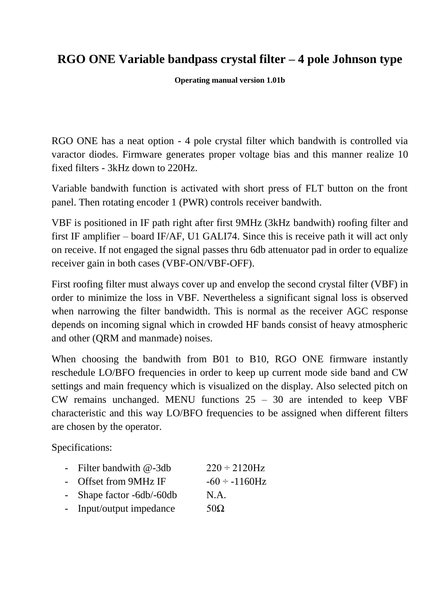## **RGO ONE Variable bandpass crystal filter – 4 pole Johnson type**

**Operating manual version 1.01b**

RGO ONE has a neat option - 4 pole crystal filter which bandwith is controlled via varactor diodes. Firmware generates proper voltage bias and this manner realize 10 fixed filters - 3kHz down to 220Hz.

Variable bandwith function is activated with short press of FLT button on the front panel. Then rotating encoder 1 (PWR) controls receiver bandwith.

VBF is positioned in IF path right after first 9MHz (3kHz bandwith) roofing filter and first IF amplifier – board IF/AF, U1 GALI74. Since this is receive path it will act only on receive. If not engaged the signal passes thru 6db attenuator pad in order to equalize receiver gain in both cases (VBF-ON/VBF-OFF).

First roofing filter must always cover up and envelop the second crystal filter (VBF) in order to minimize the loss in VBF. Nevertheless a significant signal loss is observed when narrowing the filter bandwidth. This is normal as the receiver AGC response depends on incoming signal which in crowded HF bands consist of heavy atmospheric and other (QRM and manmade) noises.

When choosing the bandwith from B01 to B10, RGO ONE firmware instantly reschedule LO/BFO frequencies in order to keep up current mode side band and CW settings and main frequency which is visualized on the display. Also selected pitch on CW remains unchanged. MENU functions  $25 - 30$  are intended to keep VBF characteristic and this way LO/BFO frequencies to be assigned when different filters are chosen by the operator.

Specifications:

- Filter bandwith  $\omega$ -3db  $220 \div 2120$ Hz
- Offset from  $9MHz$  IF  $-60 \div -1160$ Hz
- Shape factor -6db/-60db N.A.
- Input/output impedance  $50\Omega$